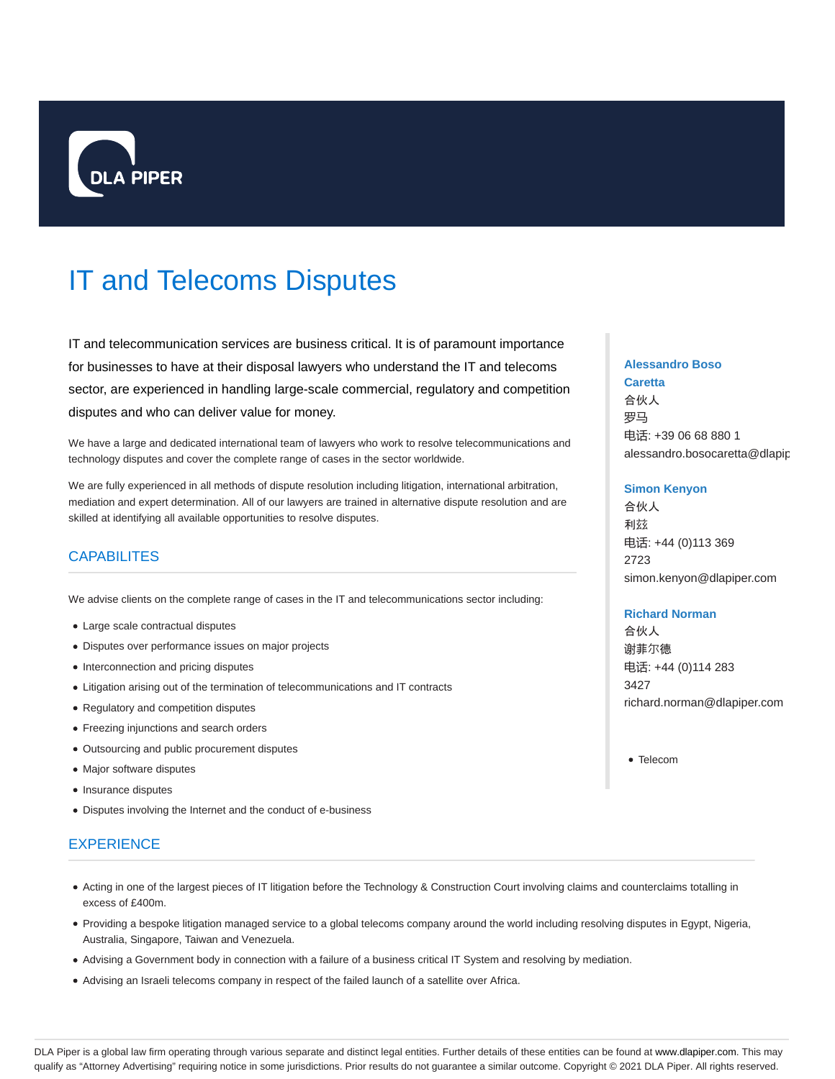

# IT and Telecoms Disputes

IT and telecommunication services are business critical. It is of paramount importance for businesses to have at their disposal lawyers who understand the IT and telecoms sector, are experienced in handling large-scale commercial, regulatory and competition disputes and who can deliver value for money.

We have a large and dedicated international team of lawyers who work to resolve telecommunications and technology disputes and cover the complete range of cases in the sector worldwide.

We are fully experienced in all methods of dispute resolution including litigation, international arbitration, mediation and expert determination. All of our lawyers are trained in alternative dispute resolution and are skilled at identifying all available opportunities to resolve disputes.

## **CAPABILITES**

We advise clients on the complete range of cases in the IT and telecommunications sector including:

- Large scale contractual disputes
- Disputes over performance issues on major projects
- Interconnection and pricing disputes
- Litigation arising out of the termination of telecommunications and IT contracts
- Regulatory and competition disputes
- Freezing injunctions and search orders
- Outsourcing and public procurement disputes
- Major software disputes
- Insurance disputes
- Disputes involving the Internet and the conduct of e-business

### **EXPERIENCE**

- Acting in one of the largest pieces of IT litigation before the Technology & Construction Court involving claims and counterclaims totalling in excess of £400m.
- Providing a bespoke litigation managed service to a global telecoms company around the world including resolving disputes in Egypt, Nigeria, Australia, Singapore, Taiwan and Venezuela.
- Advising a Government body in connection with a failure of a business critical IT System and resolving by mediation.
- Advising an Israeli telecoms company in respect of the failed launch of a satellite over Africa.

#### **Alessandro Boso**

**Caretta** 合伙人 罗马 电话: +39 06 68 880 1 alessandro.bosocaretta@dlapip

#### **Simon Kenyon**

合伙人 利兹 电话: +44 (0)113 369 2723 simon.kenyon@dlapiper.com

#### **Richard Norman**

合伙人 谢菲尔德 电话: +44 (0)114 283 3427 richard.norman@dlapiper.com

Telecom